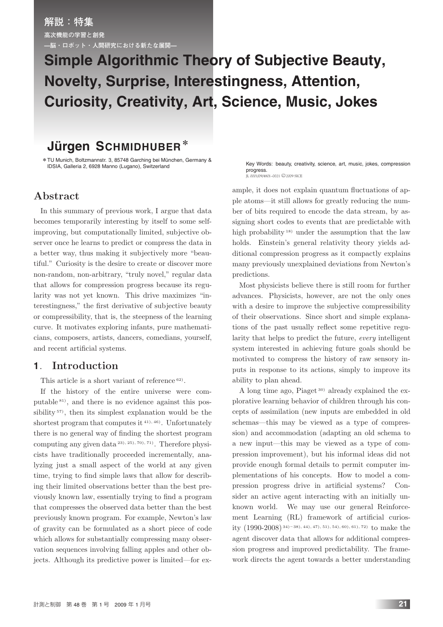**解説:特集 高次機能の学習と創発 —脳・ロボット・人間研究における新たな展開—**

# **Simple Algorithmic Theory of Subjective Beauty, Novelty, Surprise, Interestingness, Attention, Curiosity, Creativity, Art, Science, Music, Jokes**

## Jürgen SCHMIDHUBER<sup>\*</sup>

\*TU Munich, Boltzmannstr. 3, 85748 Garching bei M ¨unchen, Germany &

## **Abstract**

In this summary of previous work, I argue that data becomes temporarily interesting by itself to some selfimproving, but computationally limited, subjective observer once he learns to predict or compress the data in a better way, thus making it subjectively more "beautiful." Curiosity is the desire to create or discover more non-random, non-arbitrary, "truly novel," regular data that allows for compression progress because its regularity was not yet known. This drive maximizes "interestingness," the first derivative of subjective beauty or compressibility, that is, the steepness of the learning curve. It motivates exploring infants, pure mathematicians, composers, artists, dancers, comedians, yourself, and recent artificial systems.

## **1**. **Introduction**

This article is a short variant of reference <sup>62</sup>.

If the history of the entire universe were computable 81), and there is no evidence against this possibility 57), then its simplest explanation would be the shortest program that computes it 41)*,* 46). Unfortunately there is no general way of finding the shortest program computing any given data 23)*,* 25)*,* 70)*,* 71). Therefore physicists have traditionally proceeded incrementally, analyzing just a small aspect of the world at any given time, trying to find simple laws that allow for describing their limited observations better than the best previously known law, essentially trying to find a program that compresses the observed data better than the best previously known program. For example, Newton's law of gravity can be formulated as a short piece of code which allows for substantially compressing many observation sequences involving falling apples and other objects. Although its predictive power is limited—for ex-

IDSIA, Galleria 2, 6928 Manno (Lugano), Switzerland Key Words: beauty, creativity, science, art, music, jokes, compression **progress.**<br>JL 0001/09/4801–0021 © 2009 SICE

> ample, it does not explain quantum fluctuations of apple atoms—it still allows for greatly reducing the number of bits required to encode the data stream, by assigning short codes to events that are predictable with high probability<sup>18)</sup> under the assumption that the law holds. Einstein's general relativity theory yields additional compression progress as it compactly explains many previously unexplained deviations from Newton's predictions.

> Most physicists believe there is still room for further advances. Physicists, however, are not the only ones with a desire to improve the subjective compressibility of their observations. Since short and simple explanations of the past usually reflect some repetitive regularity that helps to predict the future, *every* intelligent system interested in achieving future goals should be motivated to compress the history of raw sensory inputs in response to its actions, simply to improve its ability to plan ahead.

> A long time ago, Piaget 30) already explained the explorative learning behavior of children through his concepts of assimilation (new inputs are embedded in old schemas—this may be viewed as a type of compression) and accommodation (adapting an old schema to a new input—this may be viewed as a type of compression improvement), but his informal ideas did not provide enough formal details to permit computer implementations of his concepts. How to model a compression progress drive in artificial systems? Consider an active agent interacting with an initially unknown world. We may use our general Reinforcement Learning (RL) framework of artificial curiosity (1990-2008) 34)~38)*,* 44)*,* 47)*,* 51)*,* 54)*,* 60)*,* 61)*,* 72) to make the agent discover data that allows for additional compression progress and improved predictability. The framework directs the agent towards a better understanding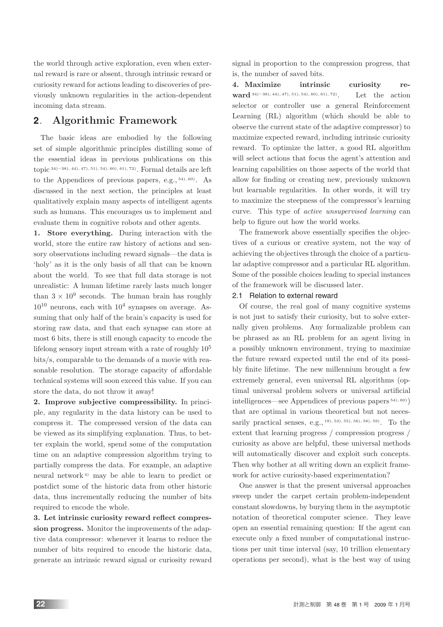the world through active exploration, even when external reward is rare or absent, through intrinsic reward or curiosity reward for actions leading to discoveries of previously unknown regularities in the action-dependent incoming data stream.

## **2**. **Algorithmic Framework**

The basic ideas are embodied by the following set of simple algorithmic principles distilling some of the essential ideas in previous publications on this topic 34)~38)*,* 44)*,* 47)*,* 51)*,* 54)*,* 60)*,* 61)*,* 72). Formal details are left to the Appendices of previous papers, e.g., 54)*,* 60). As discussed in the next section, the principles at least qualitatively explain many aspects of intelligent agents such as humans. This encourages us to implement and evaluate them in cognitive robots and other agents.

**1. Store everything.** During interaction with the world, store the entire raw history of actions and sensory observations including reward signals—the data is 'holy' as it is the only basis of all that can be known about the world. To see that full data storage is not unrealistic: A human lifetime rarely lasts much longer than  $3 \times 10^9$  seconds. The human brain has roughly  $10^{10}$  neurons, each with  $10^4$  synapses on average. Assuming that only half of the brain's capacity is used for storing raw data, and that each synapse can store at most 6 bits, there is still enough capacity to encode the lifelong sensory input stream with a rate of roughly  $10<sup>5</sup>$ bits/s, comparable to the demands of a movie with reasonable resolution. The storage capacity of affordable technical systems will soon exceed this value. If you can store the data, do not throw it away!

**2. Improve subjective compressibility.** In principle, any regularity in the data history can be used to compress it. The compressed version of the data can be viewed as its simplifying explanation. Thus, to better explain the world, spend some of the computation time on an adaptive compression algorithm trying to partially compress the data. For example, an adaptive neural network 4) may be able to learn to predict or postdict some of the historic data from other historic data, thus incrementally reducing the number of bits required to encode the whole.

**3. Let intrinsic curiosity reward reflect compression progress.** Monitor the improvements of the adaptive data compressor: whenever it learns to reduce the number of bits required to encode the historic data, generate an intrinsic reward signal or curiosity reward signal in proportion to the compression progress, that is, the number of saved bits.

**4. Maximize intrinsic curiosity reward** 34)~38)*,* 44)*,* 47)*,* 51)*,* 54)*,* 60)*,* 61)*,* 72). Let the action selector or controller use a general Reinforcement Learning (RL) algorithm (which should be able to observe the current state of the adaptive compressor) to maximize expected reward, including intrinsic curiosity reward. To optimize the latter, a good RL algorithm will select actions that focus the agent's attention and learning capabilities on those aspects of the world that allow for finding or creating new, previously unknown but learnable regularities. In other words, it will try to maximize the steepness of the compressor's learning curve. This type of *active unsupervised learning* can help to figure out how the world works.

The framework above essentially specifies the objectives of a curious or creative system, not the way of achieving the objectives through the choice of a particular adaptive compressor and a particular RL algorithm. Some of the possible choices leading to special instances of the framework will be discussed later.

#### 2.1 Relation to external reward

Of course, the real goal of many cognitive systems is not just to satisfy their curiosity, but to solve externally given problems. Any formalizable problem can be phrased as an RL problem for an agent living in a possibly unknown environment, trying to maximize the future reward expected until the end of its possibly finite lifetime. The new millennium brought a few extremely general, even universal RL algorithms (optimal universal problem solvers or universal artificial intelligences—see Appendices of previous papers 54)*,* 60)) that are optimal in various theoretical but not necessarily practical senses, e.g., 19)*,* 53)*,* 55)*,* 56)*,* 58)*,* 59). To the extent that learning progress / compression progress / curiosity as above are helpful, these universal methods will automatically discover and exploit such concepts. Then why bother at all writing down an explicit framework for active curiosity-based experimentation?

One answer is that the present universal approaches sweep under the carpet certain problem-independent constant slowdowns, by burying them in the asymptotic notation of theoretical computer science. They leave open an essential remaining question: If the agent can execute only a fixed number of computational instructions per unit time interval (say, 10 trillion elementary operations per second), what is the best way of using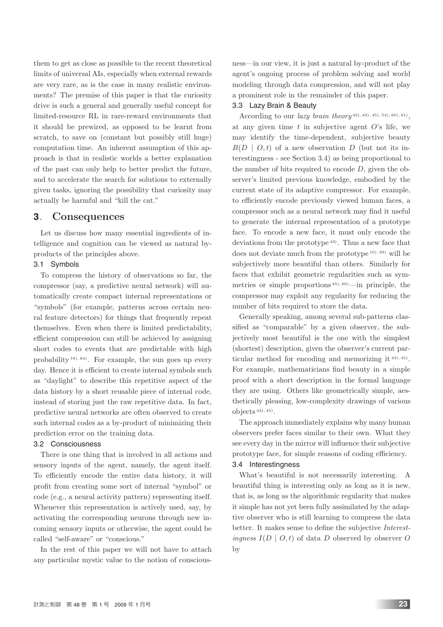them to get as close as possible to the recent theoretical limits of universal AIs, especially when external rewards are very rare, as is the case in many realistic environments? The premise of this paper is that the curiosity drive is such a general and generally useful concept for limited-resource RL in rare-reward environments that it should be prewired, as opposed to be learnt from scratch, to save on (constant but possibly still huge) computation time. An inherent assumption of this approach is that in realistic worlds a better explanation of the past can only help to better predict the future, and to accelerate the search for solutions to externally given tasks, ignoring the possibility that curiosity may actually be harmful and "kill the cat."

## **3**. **Consequences**

Let us discuss how many essential ingredients of intelligence and cognition can be viewed as natural byproducts of the principles above.

#### 3.1 Symbols

To compress the history of observations so far, the compressor (say, a predictive neural network) will automatically create compact internal representations or "symbols" (for example, patterns across certain neural feature detectors) for things that frequently repeat themselves. Even when there is limited predictability, efficient compression can still be achieved by assigning short codes to events that are predictable with high probability 18)*,* 64). For example, the sun goes up every day. Hence it is efficient to create internal symbols such as "daylight" to describe this repetitive aspect of the data history by a short reusable piece of internal code, instead of storing just the raw repetitive data. In fact, predictive neural networks are often observed to create such internal codes as a by-product of minimizing their prediction error on the training data.

#### 3.2 Consciousness

There is one thing that is involved in all actions and sensory inputs of the agent, namely, the agent itself. To efficiently encode the entire data history, it will profit from creating some sort of internal "symbol" or code (e.g., a neural activity pattern) representing itself. Whenever this representation is actively used, say, by activating the corresponding neurons through new incoming sensory inputs or otherwise, the agent could be called "self-aware" or "conscious."

In the rest of this paper we will not have to attach any particular mystic value to the notion of consciousness—in our view, it is just a natural by-product of the agent's ongoing process of problem solving and world modeling through data compression, and will not play a prominent role in the remainder of this paper.

#### 3.3 Lazy Brain & Beauty

According to our *lazy brain theory*<sup>42)*,* 43)*,* 45)*,* 54*),* 60*),* 61*),*</sup> at any given time  $t$  in subjective agent  $O$ 's life, we may identify the time-dependent, subjective beauty  $B(D \mid O, t)$  of a new observation D (but not its interestingness - see Section 3.4) as being proportional to the number of bits required to encode  $D$ , given the observer's limited previous knowledge, embodied by the current state of its adaptive compressor. For example, to efficiently encode previously viewed human faces, a compressor such as a neural network may find it useful to generate the internal representation of a prototype face. To encode a new face, it must only encode the deviations from the prototype 43). Thus a new face that does not deviate much from the prototype 10)*,* 29) will be subjectively more beautiful than others. Similarly for faces that exhibit geometric regularities such as symmetries or simple proportions 45)*,* 60)—in principle, the compressor may exploit any regularity for reducing the number of bits required to store the data.

Generally speaking, among several sub-patterns classified as "comparable" by a given observer, the subjectively most beautiful is the one with the simplest (shortest) description, given the observer's current particular method for encoding and memorizing it 43)*,* 45). For example, mathematicians find beauty in a simple proof with a short description in the formal language they are using. Others like geometrically simple, aesthetically pleasing, low-complexity drawings of various objects 43)*,* 45).

The approach immediately explains why many human observers prefer faces similar to their own. What they see every day in the mirror will influence their subjective prototype face, for simple reasons of coding efficiency.

#### 3.4 Interestingness

What's beautiful is not necessarily interesting. A beautiful thing is interesting only as long as it is new, that is, as long as the algorithmic regularity that makes it simple has not yet been fully assimilated by the adaptive observer who is still learning to compress the data better. It makes sense to define the subjective *Interestingness*  $I(D | O, t)$  of data D observed by observer O by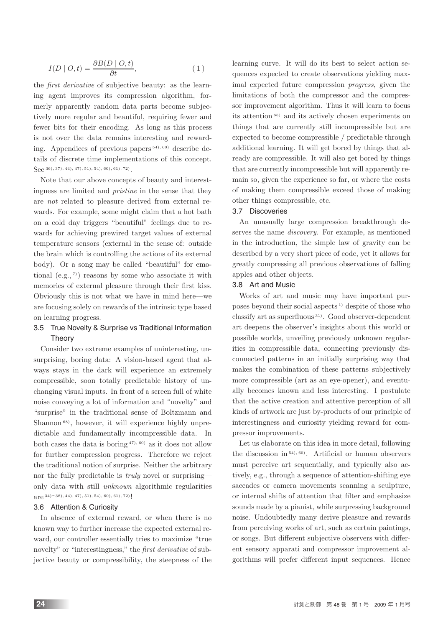$$
I(D \mid O, t) = \frac{\partial B(D \mid O, t)}{\partial t},\tag{1}
$$

the *first derivative* of subjective beauty: as the learning agent improves its compression algorithm, formerly apparently random data parts become subjectively more regular and beautiful, requiring fewer and fewer bits for their encoding. As long as this process is not over the data remains interesting and rewarding. Appendices of previous papers 54)*,* 60) describe details of discrete time implementations of this concept. See 36)*,* 37)*,* 44)*,* 47)*,* 51)*,* 54)*,* 60)*,* 61)*,* 72).

Note that our above concepts of beauty and interestingness are limited and *pristine* in the sense that they are *not* related to pleasure derived from external rewards. For example, some might claim that a hot bath on a cold day triggers "beautiful" feelings due to rewards for achieving prewired target values of external temperature sensors (external in the sense of: outside the brain which is controlling the actions of its external body). Or a song may be called "beautiful" for emotional  $(e.g., 7)$  reasons by some who associate it with memories of external pleasure through their first kiss. Obviously this is not what we have in mind here—we are focusing solely on rewards of the intrinsic type based on learning progress.

## 3.5 True Novelty & Surprise vs Traditional Information **Theory**

Consider two extreme examples of uninteresting, unsurprising, boring data: A vision-based agent that always stays in the dark will experience an extremely compressible, soon totally predictable history of unchanging visual inputs. In front of a screen full of white noise conveying a lot of information and "novelty" and "surprise" in the traditional sense of Boltzmann and Shannon 68), however, it will experience highly unpredictable and fundamentally incompressible data. In both cases the data is boring 47)*,* 60) as it does not allow for further compression progress. Therefore we reject the traditional notion of surprise. Neither the arbitrary nor the fully predictable is *truly* novel or surprising only data with still *unknown* algorithmic regularities are 34)~38)*,* 44)*,* 47)*,* 51)*,* 54)*,* 60)*,* 61)*,* 72)!

#### 3.6 Attention & Curiosity

In absence of external reward, or when there is no known way to further increase the expected external reward, our controller essentially tries to maximize "true novelty" or "interestingness," the *first derivative* of subjective beauty or compressibility, the steepness of the learning curve. It will do its best to select action sequences expected to create observations yielding maximal expected future compression *progress*, given the limitations of both the compressor and the compressor improvement algorithm. Thus it will learn to focus its attention 65) and its actively chosen experiments on things that are currently still incompressible but are expected to become compressible / predictable through additional learning. It will get bored by things that already are compressible. It will also get bored by things that are currently incompressible but will apparently remain so, given the experience so far, or where the costs of making them compressible exceed those of making other things compressible, etc.

#### 3.7 Discoveries

An unusually large compression breakthrough deserves the name *discovery*. For example, as mentioned in the introduction, the simple law of gravity can be described by a very short piece of code, yet it allows for greatly compressing all previous observations of falling apples and other objects.

#### 3.8 Art and Music

Works of art and music may have important purposes beyond their social aspects 1) despite of those who classify art as superfluous 31). Good observer-dependent art deepens the observer's insights about this world or possible worlds, unveiling previously unknown regularities in compressible data, connecting previously disconnected patterns in an initially surprising way that makes the combination of these patterns subjectively more compressible (art as an eye-opener), and eventually becomes known and less interesting. I postulate that the active creation and attentive perception of all kinds of artwork are just by-products of our principle of interestingness and curiosity yielding reward for compressor improvements.

Let us elaborate on this idea in more detail, following the discussion in 54)*,* 60). Artificial or human observers must perceive art sequentially, and typically also actively, e.g., through a sequence of attention-shifting eye saccades or camera movements scanning a sculpture, or internal shifts of attention that filter and emphasize sounds made by a pianist, while surpressing background noise. Undoubtedly many derive pleasure and rewards from perceiving works of art, such as certain paintings, or songs. But different subjective observers with different sensory apparati and compressor improvement algorithms will prefer different input sequences. Hence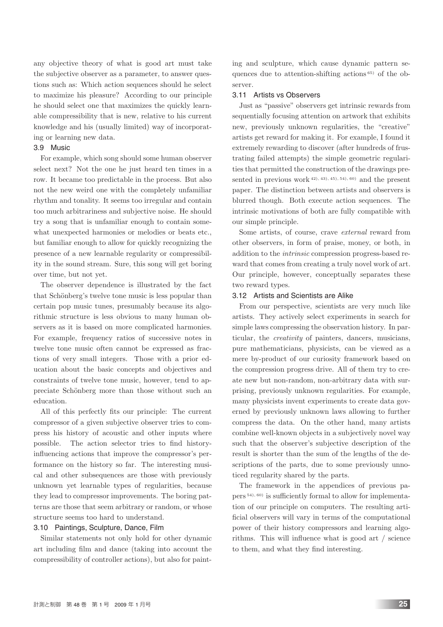any objective theory of what is good art must take the subjective observer as a parameter, to answer questions such as: Which action sequences should he select to maximize his pleasure? According to our principle he should select one that maximizes the quickly learnable compressibility that is new, relative to his current knowledge and his (usually limited) way of incorporating or learning new data.

#### 3.9 Music

For example, which song should some human observer select next? Not the one he just heard ten times in a row. It became too predictable in the process. But also not the new weird one with the completely unfamiliar rhythm and tonality. It seems too irregular and contain too much arbitrariness and subjective noise. He should try a song that is unfamiliar enough to contain somewhat unexpected harmonies or melodies or beats etc., but familiar enough to allow for quickly recognizing the presence of a new learnable regularity or compressibility in the sound stream. Sure, this song will get boring over time, but not yet.

The observer dependence is illustrated by the fact that Schönberg's twelve tone music is less popular than certain pop music tunes, presumably because its algorithmic structure is less obvious to many human observers as it is based on more complicated harmonies. For example, frequency ratios of successive notes in twelve tone music often cannot be expressed as fractions of very small integers. Those with a prior education about the basic concepts and objectives and constraints of twelve tone music, however, tend to appreciate Schönberg more than those without such an education.

All of this perfectly fits our principle: The current compressor of a given subjective observer tries to compress his history of acoustic and other inputs where possible. The action selector tries to find historyinfluencing actions that improve the compressor's performance on the history so far. The interesting musical and other subsequences are those with previously unknown yet learnable types of regularities, because they lead to compressor improvements. The boring patterns are those that seem arbitrary or random, or whose structure seems too hard to understand.

#### 3.10 Paintings, Sculpture, Dance, Film

Similar statements not only hold for other dynamic art including film and dance (taking into account the compressibility of controller actions), but also for painting and sculpture, which cause dynamic pattern sequences due to attention-shifting actions 65) of the observer.

#### 3.11 Artists vs Observers

Just as "passive" observers get intrinsic rewards from sequentially focusing attention on artwork that exhibits new, previously unknown regularities, the "creative" artists get reward for making it. For example, I found it extremely rewarding to discover (after hundreds of frustrating failed attempts) the simple geometric regularities that permitted the construction of the drawings presented in previous work 42)*,* 43)*,* 45)*,* 54)*,* 60) and the present paper. The distinction between artists and observers is blurred though. Both execute action sequences. The intrinsic motivations of both are fully compatible with our simple principle.

Some artists, of course, crave *external* reward from other observers, in form of praise, money, or both, in addition to the *intrinsic* compression progress-based reward that comes from creating a truly novel work of art. Our principle, however, conceptually separates these two reward types.

#### 3.12 Artists and Scientists are Alike

From our perspective, scientists are very much like artists. They actively select experiments in search for simple laws compressing the observation history. In particular, the *creativity* of painters, dancers, musicians, pure mathematicians, physicists, can be viewed as a mere by-product of our curiosity framework based on the compression progress drive. All of them try to create new but non-random, non-arbitrary data with surprising, previously unknown regularities. For example, many physicists invent experiments to create data governed by previously unknown laws allowing to further compress the data. On the other hand, many artists combine well-known objects in a subjectively novel way such that the observer's subjective description of the result is shorter than the sum of the lengths of the descriptions of the parts, due to some previously unnoticed regularity shared by the parts.

The framework in the appendices of previous papers 54)*,* 60) is sufficiently formal to allow for implementation of our principle on computers. The resulting artificial observers will vary in terms of the computational power of their history compressors and learning algorithms. This will influence what is good art / science to them, and what they find interesting.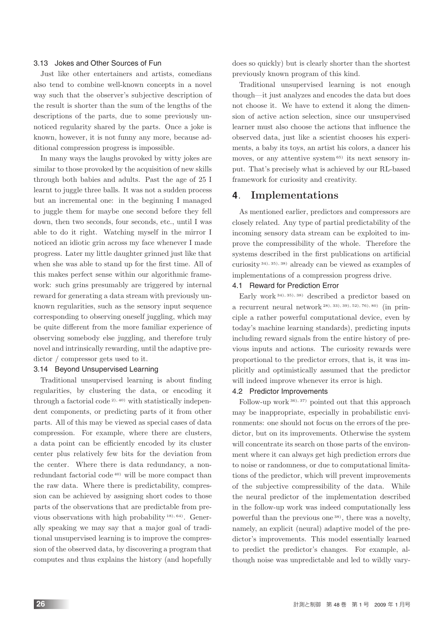#### 3.13 Jokes and Other Sources of Fun

Just like other entertainers and artists, comedians also tend to combine well-known concepts in a novel way such that the observer's subjective description of the result is shorter than the sum of the lengths of the descriptions of the parts, due to some previously unnoticed regularity shared by the parts. Once a joke is known, however, it is not funny any more, because additional compression progress is impossible.

In many ways the laughs provoked by witty jokes are similar to those provoked by the acquisition of new skills through both babies and adults. Past the age of 25 I learnt to juggle three balls. It was not a sudden process but an incremental one: in the beginning I managed to juggle them for maybe one second before they fell down, then two seconds, four seconds, etc., until I was able to do it right. Watching myself in the mirror I noticed an idiotic grin across my face whenever I made progress. Later my little daughter grinned just like that when she was able to stand up for the first time. All of this makes perfect sense within our algorithmic framework: such grins presumably are triggered by internal reward for generating a data stream with previously unknown regularities, such as the sensory input sequence corresponding to observing oneself juggling, which may be quite different from the more familiar experience of observing somebody else juggling, and therefore truly novel and intrinsically rewarding, until the adaptive predictor / compressor gets used to it.

#### 3.14 Beyond Unsupervised Learning

Traditional unsupervised learning is about finding regularities, by clustering the data, or encoding it through a factorial code 2)*,* 40) with statistically independent components, or predicting parts of it from other parts. All of this may be viewed as special cases of data compression. For example, where there are clusters, a data point can be efficiently encoded by its cluster center plus relatively few bits for the deviation from the center. Where there is data redundancy, a nonredundant factorial code 40) will be more compact than the raw data. Where there is predictability, compression can be achieved by assigning short codes to those parts of the observations that are predictable from previous observations with high probability 18)*,* 64). Generally speaking we may say that a major goal of traditional unsupervised learning is to improve the compression of the observed data, by discovering a program that computes and thus explains the history (and hopefully does so quickly) but is clearly shorter than the shortest previously known program of this kind.

Traditional unsupervised learning is not enough though—it just analyzes and encodes the data but does not choose it. We have to extend it along the dimension of active action selection, since our unsupervised learner must also choose the actions that influence the observed data, just like a scientist chooses his experiments, a baby its toys, an artist his colors, a dancer his moves, or any attentive system 65) its next sensory input. That's precisely what is achieved by our RL-based framework for curiosity and creativity.

## **4**. **Implementations**

As mentioned earlier, predictors and compressors are closely related. Any type of partial predictability of the incoming sensory data stream can be exploited to improve the compressibility of the whole. Therefore the systems described in the first publications on artificial curiosity 34)*,* 35)*,* 38) already can be viewed as examples of implementations of a compression progress drive.

### 4.1 Reward for Prediction Error

Early work 34)*,* 35)*,* 38) described a predictor based on a recurrent neural network 28)*,* 33)*,* 39)*,* 52)*,* 76)*,* 80) (in principle a rather powerful computational device, even by today's machine learning standards), predicting inputs including reward signals from the entire history of previous inputs and actions. The curiosity rewards were proportional to the predictor errors, that is, it was implicitly and optimistically assumed that the predictor will indeed improve whenever its error is high.

#### 4.2 Predictor Improvements

Follow-up work 36)*,* 37) pointed out that this approach may be inappropriate, especially in probabilistic environments: one should not focus on the errors of the predictor, but on its improvements. Otherwise the system will concentrate its search on those parts of the environment where it can always get high prediction errors due to noise or randomness, or due to computational limitations of the predictor, which will prevent improvements of the subjective compressibility of the data. While the neural predictor of the implementation described in the follow-up work was indeed computationally less powerful than the previous one 38), there was a novelty, namely, an explicit (neural) adaptive model of the predictor's improvements. This model essentially learned to predict the predictor's changes. For example, although noise was unpredictable and led to wildly vary-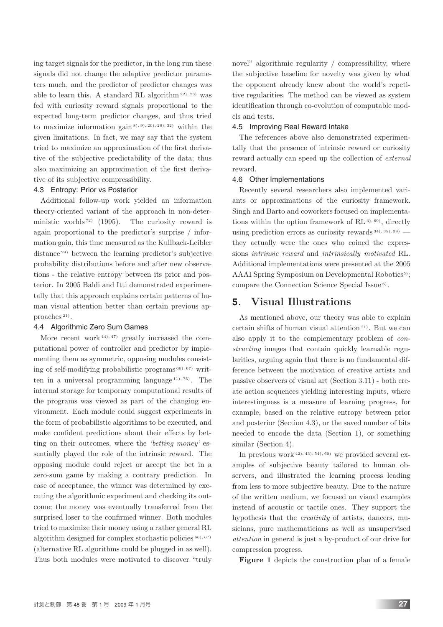ing target signals for the predictor, in the long run these signals did not change the adaptive predictor parameters much, and the predictor of predictor changes was able to learn this. A standard RL algorithm 22)*,* 73) was fed with curiosity reward signals proportional to the expected long-term predictor changes, and thus tried to maximize information gain 8)*,* 9)*,* 20)*,* 26)*,* 32) within the given limitations. In fact, we may say that the system tried to maximize an approximation of the first derivative of the subjective predictability of the data; thus also maximizing an approximation of the first derivative of its subjective compressibility.

#### 4.3 Entropy: Prior vs Posterior

Additional follow-up work yielded an information theory-oriented variant of the approach in non-deterministic worlds<sup> $72)$ </sup> (1995). The curiosity reward is again proportional to the predictor's surprise / information gain, this time measured as the Kullback-Leibler distance 24) between the learning predictor's subjective probability distributions before and after new observations - the relative entropy between its prior and posterior. In 2005 Baldi and Itti demonstrated experimentally that this approach explains certain patterns of human visual attention better than certain previous approaches  $21$ ).

#### 4.4 Algorithmic Zero Sum Games

More recent work<sup>44), 47)</sup> greatly increased the computational power of controller and predictor by implementing them as symmetric, opposing modules consisting of self-modifying probabilistic programs 66)*,* 67) written in a universal programming language 11)*,* 75). The internal storage for temporary computational results of the programs was viewed as part of the changing environment. Each module could suggest experiments in the form of probabilistic algorithms to be executed, and make confident predictions about their effects by betting on their outcomes, where the *'betting money'* essentially played the role of the intrinsic reward. The opposing module could reject or accept the bet in a zero-sum game by making a contrary prediction. In case of acceptance, the winner was determined by executing the algorithmic experiment and checking its outcome; the money was eventually transferred from the surprised loser to the confirmed winner. Both modules tried to maximize their money using a rather general RL algorithm designed for complex stochastic policies 66)*,* 67) (alternative RL algorithms could be plugged in as well). Thus both modules were motivated to discover "truly novel" algorithmic regularity / compressibility, where the subjective baseline for novelty was given by what the opponent already knew about the world's repetitive regularities. The method can be viewed as system identification through co-evolution of computable models and tests.

#### 4.5 Improving Real Reward Intake

The references above also demonstrated experimentally that the presence of intrinsic reward or curiosity reward actually can speed up the collection of *external* reward.

#### 4.6 Other Implementations

Recently several researchers also implemented variants or approximations of the curiosity framework. Singh and Barto and coworkers focused on implementations within the option framework of RL 3)*,* 69), directly using prediction errors as curiosity rewards 34)*,* 35)*,* 38) they actually were the ones who coined the expressions *intrinsic reward* and *intrinsically motivated* RL. Additional implementations were presented at the 2005 AAAI Spring Symposium on Developmental Robotics<sup>5)</sup>; compare the Connection Science Special Issue 6).

## **5**. **Visual Illustrations**

As mentioned above, our theory was able to explain certain shifts of human visual attention 21). But we can also apply it to the complementary problem of *constructing* images that contain quickly learnable regularities, arguing again that there is no fundamental difference between the motivation of creative artists and passive observers of visual art (Section 3.11) - both create action sequences yielding interesting inputs, where interestingness is a measure of learning progress, for example, based on the relative entropy between prior and posterior (Section 4.3), or the saved number of bits needed to encode the data (Section 1), or something similar (Section 4).

In previous work 42)*,* 43)*,* 54)*,* 60) we provided several examples of subjective beauty tailored to human observers, and illustrated the learning process leading from less to more subjective beauty. Due to the nature of the written medium, we focused on visual examples instead of acoustic or tactile ones. They support the hypothesis that the *creativity* of artists, dancers, musicians, pure mathematicians as well as unsupervised *attention* in general is just a by-product of our drive for compression progress.

**Figure 1** depicts the construction plan of a female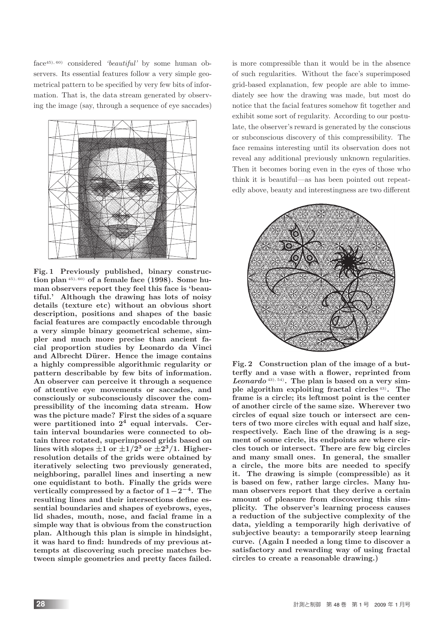face45)*,* 60) considered *'beautiful'* by some human observers. Its essential features follow a very simple geometrical pattern to be specified by very few bits of information. That is, the data stream generated by observing the image (say, through a sequence of eye saccades)



**Fig. 1 Previously published, binary construction plan** 45)*,* 60) **of a female face (1998). Some human observers report they feel this face is 'beautiful.' Although the drawing has lots of noisy details (texture etc) without an obvious short description, positions and shapes of the basic facial features are compactly encodable through a very simple binary geometrical scheme, simpler and much more precise than ancient facial proportion studies by Leonardo da Vinci** and Albrecht Dürer. Hence the image contains **a highly compressible algorithmic regularity or pattern describable by few bits of information. An observer can perceive it through a sequence of attentive eye movements or saccades, and consciously or subconsciously discover the compressibility of the incoming data stream. How was the picture made? First the sides of a square were partitioned into 2<sup>4</sup> equal intervals. Certain interval boundaries were connected to obtain three rotated, superimposed grids based on** lines with slopes  $\pm 1$  or  $\pm 1/2^3$  or  $\pm 2^3/1$ . Higher**resolution details of the grids were obtained by iteratively selecting two previously generated, neighboring, parallel lines and inserting a new one equidistant to both. Finally the grids were vertically compressed by a factor of 1***−***2***−***<sup>4</sup>. The resulting lines and their intersections define essential boundaries and shapes of eyebrows, eyes, lid shades, mouth, nose, and facial frame in a simple way that is obvious from the construction plan. Although this plan is simple in hindsight, it was hard to find: hundreds of my previous attempts at discovering such precise matches between simple geometries and pretty faces failed.**

is more compressible than it would be in the absence of such regularities. Without the face's superimposed grid-based explanation, few people are able to immediately see how the drawing was made, but most do notice that the facial features somehow fit together and exhibit some sort of regularity. According to our postulate, the observer's reward is generated by the conscious or subconscious discovery of this compressibility. The face remains interesting until its observation does not reveal any additional previously unknown regularities. Then it becomes boring even in the eyes of those who think it is beautiful—as has been pointed out repeatedly above, beauty and interestingness are two different



**Fig. 2 Construction plan of the image of a butterfly and a vase with a flower, reprinted from** *Leonardo* 43)*,* 54)**. The plan is based on a very simple algorithm exploiting fractal circles** 43)**. The frame is a circle; its leftmost point is the center of another circle of the same size. Wherever two circles of equal size touch or intersect are centers of two more circles with equal and half size, respectively. Each line of the drawing is a segment of some circle, its endpoints are where circles touch or intersect. There are few big circles and many small ones. In general, the smaller a circle, the more bits are needed to specify it. The drawing is simple (compressible) as it is based on few, rather large circles. Many human observers report that they derive a certain amount of pleasure from discovering this simplicity. The observer's learning process causes a reduction of the subjective complexity of the data, yielding a temporarily high derivative of subjective beauty: a temporarily steep learning curve. (Again I needed a long time to discover a satisfactory and rewarding way of using fractal circles to create a reasonable drawing.)**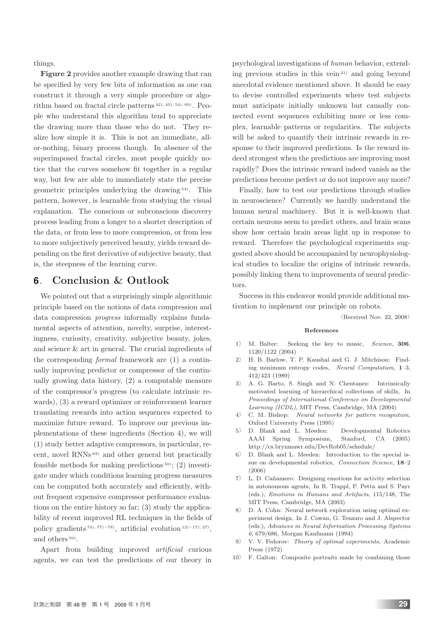things.

**Figure 2** provides another example drawing that can be specified by very few bits of information as one can construct it through a very simple procedure or algorithm based on fractal circle patterns 42)*,* 43)*,* 54)*,* 60). People who understand this algorithm tend to appreciate the drawing more than those who do not. They realize how simple it is. This is not an immediate, allor-nothing, binary process though. In absence of the superimposed fractal circles, most people quickly notice that the curves somehow fit together in a regular way, but few are able to immediately state the precise geometric principles underlying the drawing 54). This pattern, however, is learnable from studying the visual explanation. The conscious or subconscious discovery process leading from a longer to a shorter description of the data, or from less to more compression, or from less to more subjectively perceived beauty, yields reward depending on the first derivative of subjective beauty, that is, the steepness of the learning curve.

## **6**. **Conclusion & Outlook**

We pointed out that a surprisingly simple algorithmic principle based on the notions of data compression and data compression *progress* informally explains fundamental aspects of attention, novelty, surprise, interestingness, curiosity, creativity, subjective beauty, jokes, and science & art in general. The crucial ingredients of the corresponding *formal* framework are (1) a continually improving predictor or compressor of the continually growing data history, (2) a computable measure of the compressor's progress (to calculate intrinsic rewards), (3) a reward optimizer or reinforcement learner translating rewards into action sequences expected to maximize future reward. To improve our previous implementations of these ingredients (Section 4), we will (1) study better adaptive compressors, in particular, recent, novel RNNs 63) and other general but practically feasible methods for making predictions  $(2)$  investigate under which conditions learning progress measures can be computed both accurately and efficiently, without frequent expensive compressor performance evaluations on the entire history so far; (3) study the applicability of recent improved RL techniques in the fields of policy gradients 74)*,* 77)~79), artificial evolution 12)~17)*,* 27), and others<sup>50)</sup>.

Apart from building improved *artificial* curious agents, we can test the predictions of our theory in psychological investigations of *human* behavior, extending previous studies in this vein  $2^{11}$  and going beyond anecdotal evidence mentioned above. It should be easy to devise controlled experiments where test subjects must anticipate initially unknown but causally connected event sequences exhibiting more or less complex, learnable patterns or regularities. The subjects will be asked to quantify their intrinsic rewards in response to their improved predictions. Is the reward indeed strongest when the predictions are improving most rapidly? Does the intrinsic reward indeed vanish as the predictions become perfect or do not improve any more?

Finally, how to test our predictions through studies in neuroscience? Currently we hardly understand the human neural machinery. But it is well-known that certain neurons seem to predict others, and brain scans show how certain brain areas light up in response to reward. Therefore the psychological experiments suggested above should be accompanied by neurophysiological studies to localize the origins of intrinsic rewards, possibly linking them to improvements of neural predictors.

Success in this endeavor would provide additional motivation to implement our principle on robots.

(Received Nov. 22, 2008)

#### **References**

- 1) M. Balter: Seeking the key to music, *Science*, **306**, 1120/1122 (2004)
- 2) H. B. Barlow, T. P. Kaushal and G. J. Mitchison: Finding minimum entropy codes, *Neural Computation*, **1**–3, 412/423 (1989)
- 3) A. G. Barto, S. Singh and N. Chentanez: Intrinsically motivated learning of hierarchical collections of skills, In *Proceedings of International Conference on Developmental Learning (ICDL)*, MIT Press, Cambridge, MA (2004)
- 4) C. M. Bishop: *Neural networks for pattern recognition*, Oxford University Press (1995)
- 5) D. Blank and L. Meeden: Developmental Robotics AAAI Spring Symposium, Stanford, CA (2005) http://cs.brynmawr.edu/DevRob05/schedule/
- 6) D. Blank and L. Meeden: Introduction to the special issue on developmental robotics, *Connection Science*, **18**–2 (2006)
- 7) L. D. Ca˜namero: Designing emotions for activity selection in autonomous agents, In R. Trappl, P. Petta and S. Payr (eds.), *Emotions in Humans and Artifacts*, 115/148, The MIT Press, Cambridge, MA (2003)
- 8) D. A. Cohn: Neural network exploration using optimal experiment design, In J. Cowan, G. Tesauro and J. Alspector (eds.), *Advances in Neural Information Processing Systems 6*, 679/686, Morgan Kaufmann (1994)
- 9) V. V. Fedorov: *Theory of optimal experiments*, Academic Press (1972)
- 10) F. Galton: Composite portraits made by combining those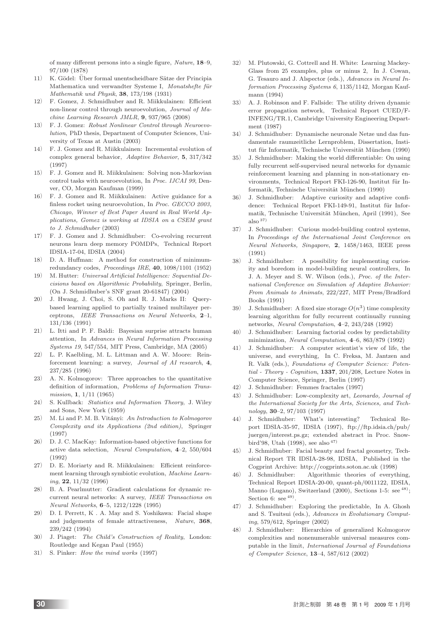of many different persons into a single figure, *Nature*, **18**–9, 97/100 (1878)

- 11) K. Gödel: Über formal unentscheidbare Sätze der Principia Mathematica und verwandter Systeme I, *Monatshefte für Mathematik und Physik*, **38**, 173/198 (1931)
- 12) F. Gomez, J. Schmidhuber and R. Miikkulainen: Efficient non-linear control through neuroevolution, *Journal of Machine Learning Research JMLR*, **9**, 937/965 (2008)
- 13) F. J. Gomez: *Robust Nonlinear Control through Neuroevolution*, PhD thesis, Department of Computer Sciences, University of Texas at Austin (2003)
- 14) F. J. Gomez and R. Miikkulainen: Incremental evolution of complex general behavior, *Adaptive Behavior*, **5**, 317/342 (1997)
- 15) F. J. Gomez and R. Miikkulainen: Solving non-Markovian control tasks with neuroevolution, In *Proc. IJCAI 99*, Denver, CO, Morgan Kaufman (1999)
- 16) F. J. Gomez and R. Miikkulainen: Active guidance for a finless rocket using neuroevolution, In *Proc. GECCO 2003, Chicago*, *Winner of Best Paper Award in Real World Applications, Gomez is working at IDSIA on a CSEM grant to J. Schmidhuber* (2003)
- 17) F. J. Gomez and J. Schmidhuber: Co-evolving recurrent neurons learn deep memory POMDPs, Technical Report IDSIA-17-04, IDSIA (2004)
- 18) D. A. Huffman: A method for construction of minimumredundancy codes, *Proceedings IRE*, **40**, 1098/1101 (1952)
- 19) M. Hutter: *Universal Artificial Intelligence: Sequential Decisions based on Algorithmic Probability*, Springer, Berlin, (On J. Schmidhuber's SNF grant 20-61847) (2004)
- 20) J. Hwang, J. Choi, S. Oh and R. J. Marks II: Querybased learning applied to partially trained multilayer perceptrons, *IEEE Transactions on Neural Networks*, **2**–1, 131/136 (1991)
- 21) L. Itti and P. F. Baldi: Bayesian surprise attracts human attention, In *Advances in Neural Information Processing Systems 19*, 547/554, MIT Press, Cambridge, MA (2005)
- 22) L. P. Kaelbling, M. L. Littman and A. W. Moore: Reinforcement learning: a survey, *Journal of AI research*, **4**, 237/285 (1996)
- 23) A. N. Kolmogorov: Three approaches to the quantitative definition of information, *Problems of Information Transmission*, **1**, 1/11 (1965)
- 24) S. Kullback: *Statistics and Information Theory*, J. Wiley and Sons, New York (1959)
- 25) M. Li and P. M. B. Vitányi: *An Introduction to Kolmogorov Complexity and its Applications (2nd edition)*, Springer (1997)
- 26) D. J. C. MacKay: Information-based objective functions for active data selection, *Neural Computation*, **4**–2, 550/604 (1992)
- 27) D. E. Moriarty and R. Miikkulainen: Efficient reinforcement learning through symbiotic evolution, *Machine Learning*, **22**, 11/32 (1996)
- 28) B. A. Pearlmutter: Gradient calculations for dynamic recurrent neural networks: A survey, *IEEE Transactions on Neural Networks*, **6**–5, 1212/1228 (1995)
- 29) D. I. Perrett, K . A. May and S. Yoshikawa: Facial shape and judgements of female attractiveness, *Nature*, **368**, 239/242 (1994)
- 30) J. Piaget: *The Child's Construction of Reality*, London: Routledge and Kegan Paul (1955)
- 31) S. Pinker: *How the mind works* (1997)
- 32) M. Plutowski, G. Cottrell and H. White: Learning Mackey-Glass from 25 examples, plus or minus 2, In J. Cowan, G. Tesauro and J. Alspector (eds.), *Advances in Neural Information Processing Systems 6*, 1135/1142, Morgan Kaufmann (1994)
- 33) A. J. Robinson and F. Fallside: The utility driven dynamic error propagation network, Technical Report CUED/F-INFENG/TR.1, Cambridge University Engineering Department (1987)
- 34) J. Schmidhuber: Dynamische neuronale Netze und das fundamentale raumzeitliche Lernproblem, Dissertation, Institut für Informatik, Technische Universität München (1990)
- 35) J. Schmidhuber: Making the world differentiable: On using fully recurrent self-supervised neural networks for dynamic reinforcement learning and planning in non-stationary environments, Technical Report FKI-126-90, Institut für Informatik, Technische Universität München (1990)
- 36) J. Schmidhuber: Adaptive curiosity and adaptive confidence: Technical Report FKI-149-91, Institut für Informatik, Technische Universität München, April (1991), See also  $37$
- 37) J. Schmidhuber: Curious model-building control systems, In *Proceedings of the International Joint Conference on Neural Networks, Singapore*, **2**, 1458/1463, IEEE press (1991)
- 38) J. Schmidhuber: A possibility for implementing curiosity and boredom in model-building neural controllers, In J. A. Meyer and S. W. Wilson (eds.), *Proc. of the International Conference on Simulation of Adaptive Behavior: From Animals to Animats*, 222/227, MIT Press/Bradford Books (1991)
- 39) J. Schmidhuber: A fixed size storage  $O(n^3)$  time complexity learning algorithm for fully recurrent continually running networks, *Neural Computation*, **4**–2, 243/248 (1992)
- 40) J. Schmidhuber: Learning factorial codes by predictability minimization, *Neural Computation*, **4**–6, 863/879 (1992)
- 41) J. Schmidhuber: A computer scientist's view of life, the universe, and everything, In C. Freksa, M. Jantzen and R. Valk (eds.), *Foundations of Computer Science: Potential - Theory - Cognition*, **1337**, 201/208, Lecture Notes in Computer Science, Springer, Berlin (1997)
- 42) J. Schmidhuber: Femmes fractales (1997)
- 43) J. Schmidhuber: Low-complexity art, *Leonardo, Journal of the International Society for the Arts, Sciences, and Technology*, **30**–2, 97/103 (1997)
- 44) J. Schmidhuber: What's interesting? Technical Report IDSIA-35-97, IDSIA (1997), ftp://ftp.idsia.ch/pub/ juergen/interest.ps.gz; extended abstract in Proc. Snowbird'98, Utah (1998), see also  $47$ )
- 45) J. Schmidhuber: Facial beauty and fractal geometry, Technical Report TR IDSIA-28-98, IDSIA, Published in the Cogprint Archive: http://cogprints.soton.ac.uk (1998)
- 46) J. Schmidhuber: Algorithmic theories of everything, Technical Report IDSIA-20-00, quant-ph/0011122, IDSIA, Manno (Lugano), Switzerland (2000), Sections 1-5: see  $^{48}$ ; Section 6: see  $49)$ .
- 47) J. Schmidhuber: Exploring the predictable, In A. Ghosh and S. Tsuitsui (eds.), *Advances in Evolutionary Computing*, 579/612, Springer (2002)
- 48) J. Schmidhuber: Hierarchies of generalized Kolmogorov complexities and nonenumerable universal measures computable in the limit, *International Journal of Foundations of Computer Science*, **13**–4, 587/612 (2002)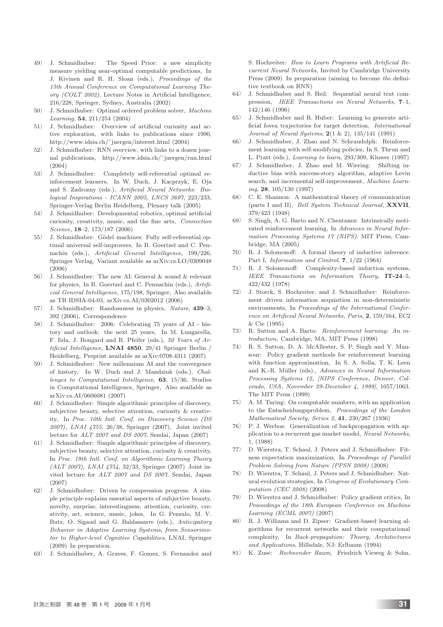- 49) J. Schmidhuber: The Speed Prior: a new simplicity measure yielding near-optimal computable predictions, In J. Kivinen and R. H. Sloan (eds.), *Proceedings of the 15th Annual Conference on Computational Learning Theory (COLT 2002)*, Lecture Notes in Artificial Intelligence, 216/228, Springer, Sydney, Australia (2002)
- 50) J. Schmidhuber: Optimal ordered problem solver, *Machine Learning*, **54**, 211/254 (2004)
- 51) J. Schmidhuber: Overview of artificial curiosity and active exploration, with links to publications since 1990, http://www.idsia.ch/˜juergen/interest.html (2004)
- 52) J. Schmidhuber: RNN overview, with links to a dozen journal publications, http://www.idsia.ch/˜juergen/rnn.html (2004)
- 53) J. Schmidhuber: Completely self-referential optimal reinforcement learners, In W. Duch, J. Kacprzyk, E. Oja and S. Zadrozny (eds.), *Artificial Neural Networks: Biological Inspirations - ICANN 2005, LNCS 3697*, 223/233, Springer-Verlag Berlin Heidelberg, Plenary talk (2005)
- 54) J. Schmidhuber: Developmental robotics, optimal artificial curiosity, creativity, music, and the fine arts, *Connection Science*, **18**–2, 173/187 (2006)
- 55) J. Schmidhuber: Gödel machines: Fully self-referential optimal universal self-improvers, In B. Goertzel and C. Pennachin (eds.), *Artificial General Intelligence*, 199/226, Springer Verlag, Variant available as arXiv:cs.LO/0309048 (2006)
- 56) J. Schmidhuber: The new AI: General & sound & relevant for physics, In B. Goertzel and C. Pennachin (eds.), *Artificial General Intelligence*, 175/198, Springer, Also available as TR IDSIA-04-03, arXiv:cs.AI/0302012 (2006)
- 57) J. Schmidhuber: Randomness in physics, *Nature*, **439**–3, 392 (2006), Correspondence
- 58) J. Schmidhuber: 2006: Celebrating 75 years of AI history and outlook: the next 25 years, In M. Lungarella, F. Iida, J. Bongard and R. Pfeifer (eds.), *50 Years of Artificial Intelligence*, **LNAI 4850**, 29/41 Springer Berlin / Heidelberg, Preprint available as arXiv:0708.4311 (2007)
- 59) J. Schmidhuber: New millennium AI and the convergence of history, In W. Duch and J. Mandziuk (eds.), *Challenges to Computational Intelligence*, **63**, 15/36, Studies in Computational Intelligence, Springer, Also available as arXiv:cs.AI/0606081 (2007)
- 60) J. Schmidhuber: Simple algorithmic principles of discovery, subjective beauty, selective attention, curiosity & creativity, In *Proc. 10th Intl. Conf. on Discovery Science (DS 2007), LNAI 4755*, 26/38, Springer (2007), Joint invited lecture for *ALT 2007 and DS 2007*, Sendai, Japan (2007)
- 61) J. Schmidhuber: Simple algorithmic principles of discovery, subjective beauty, selective attention, curiosity & creativity, In *Proc. 18th Intl. Conf. on Algorithmic Learning Theory (ALT 2007), LNAI 4754*, 32/33, Springer (2007) Joint invited lecture for *ALT 2007 and DS 2007*, Sendai, Japan (2007)
- 62) J. Schmidhuber: Driven by compression progress: A simple principle explains essential aspects of subjective beauty, novelty, surprise, interestingness, attention, curiosity, creativity, art, science, music, jokes, In G. Pezzulo, M. V. Butz, O. Sigaud and G. Baldassarre (eds.), *Anticipatory Behavior in Adaptive Learning Systems, from Sensorimotor to Higher-level Cognitive Capabilities*, LNAI, Springer (2009) In preparation.
- 63) J. Schmidhuber, A. Graves, F. Gomez, S. Fernandez and

S. Hochreiter: *How to Learn Programs with Artificial Recurrent Neural Networks*, Invited by Cambridge University Press (2009) In preparation (aiming to become *the* definitive textbook on RNN)

- 64) J. Schmidhuber and S. Heil: Sequential neural text compression, *IEEE Transactions on Neural Networks*, **7**–1, 142/146 (1996)
- 65) J. Schmidhuber and R. Huber: Learning to generate artificial fovea trajectories for target detection, *International Journal of Neural Systems*, **2**(1 & 2), 135/141 (1991)
- 66) J. Schmidhuber, J. Zhao and N. Schraudolph: Reinforcement learning with self-modifying policies, In S. Thrun and L. Pratt (eds.), *Learning to learn*, 293/309, Kluwer (1997)
- 67) J. Schmidhuber, J. Zhao and M. Wiering: Shifting inductive bias with success-story algorithm, adaptive Levin search, and incremental self-improvement, *Machine Learning*, **28**, 105/130 (1997)
- 68) C. E. Shannon: A mathematical theory of communication (parts I and II), *Bell System Technical Journal*, **XXVII**, 379/423 (1948)
- 69) S. Singh, A. G. Barto and N. Chentanez: Intrinsically motivated reinforcement learning, In *Advances in Neural Information Processing Systems 17 (NIPS)*. MIT Press, Cambridge, MA (2005)
- 70) R. J. Solomonoff: A formal theory of inductive inference. Part I, *Information and Control*, **7**, 1/22 (1964)
- 71) R. J. Solomonoff: Complexity-based induction systems, *IEEE Transactions on Information Theory*, **IT-24**–5, 422/432 (1978)
- 72) J. Storck, S. Hochreiter, and J. Schmidhuber: Reinforcement driven information acquisition in non-deterministic environments, In *Proceedings of the International Conference on Artificial Neural Networks, Paris*, **2**, 159/164, EC2 & Cie (1995)
- 73) R. Sutton and A. Barto: *Reinforcement learning: An introduction*, Cambridge, MA, MIT Press (1998)
- 74) R. S. Sutton, D. A. McAllester, S. P. Singh and Y. Mansour: Policy gradient methods for reinforcement learning with function approximation, In S. A. Solla, T. K. Leen and K.-R. M¨uller (eds)., *Advances in Neural Information Processing Systems 12, [NIPS Conference, Denver, Colorado, USA, November 29-December 4, 1999]*, 1057/1063. The MIT Press (1999)
- 75) A. M. Turing: On computable numbers, with an application to the Entscheidungsproblem, *Proceedings of the London Mathematical Society, Series 2*, **41**, 230/267 (1936)
- 76) P. J. Werbos: Generalization of backpropagation with application to a recurrent gas market model, *Neural Networks*, 1, (1988)
- 77) D. Wierstra, T. Schaul, J. Peters and J. Schmidhuber: Fitness expectation maximization, In *Proceedings of Parallel Problem Solving from Nature (PPSN 2008)* (2008)
- 78) D. Wierstra, T. Schaul, J. Peters and J. Schmidhuber: Natural evolution strategies, In *Congress of Evolutionary Computation (CEC 2008)* (2008)
- 79) D. Wierstra and J. Schmidhuber: Policy gradient critics, In *Proceedings of the 18th European Conference on Machine Learning (ECML 2007)* (2007)
- 80) R. J. Williams and D. Zipser: Gradient-based learning algorithms for recurrent networks and their computational complexity, In *Back-propagation: Theory, Architectures and Applications*, Hillsdale, NJ: Erlbaum (1994)
- 81) K. Zuse: *Rechnender Raum*, Friedrich Vieweg & Sohn,